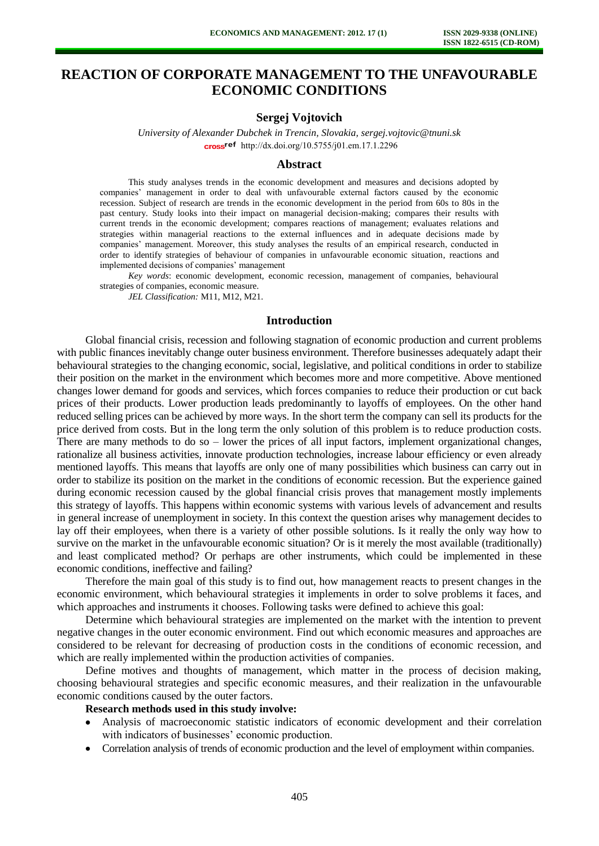# **REACTION OF CORPORATE MANAGEMENT TO THE UNFAVOURABLE ECONOMIC CONDITIONS**

## **Sergej Vojtovich**

*University of Alexander Dubchek in Trencin, Slovakia, [sergej.vojtovic@tnuni.sk](mailto:sergej.vojtovic@tnuni.sk)*  cross<sup>ref</sup> [http://dx.doi.org/10.5755/j01.e](http://dx.doi.org/10.5755/j01.em.17.1.2296)m.17.1.2296

#### **Abstract**

This study analyses trends in the economic development and measures and decisions adopted by companies' management in order to deal with unfavourable external factors caused by the economic recession. Subject of research are trends in the economic development in the period from 60s to 80s in the past century. Study looks into their impact on managerial decision-making; compares their results with current trends in the economic development; compares reactions of management; evaluates relations and strategies within managerial reactions to the external influences and in adequate decisions made by companies' management. Moreover, this study analyses the results of an empirical research, conducted in order to identify strategies of behaviour of companies in unfavourable economic situation, reactions and implemented decisions of companies' management

*Key words*: economic development, economic recession, management of companies, behavioural strategies of companies, economic measure.

*JEL Classification:* M11, M12, M21.

#### **Introduction**

Global financial crisis, recession and following stagnation of economic production and current problems with public finances inevitably change outer business environment. Therefore businesses adequately adapt their behavioural strategies to the changing economic, social, legislative, and political conditions in order to stabilize their position on the market in the environment which becomes more and more competitive. Above mentioned changes lower demand for goods and services, which forces companies to reduce their production or cut back prices of their products. Lower production leads predominantly to layoffs of employees. On the other hand reduced selling prices can be achieved by more ways. In the short term the company can sell its products for the price derived from costs. But in the long term the only solution of this problem is to reduce production costs. There are many methods to do so – lower the prices of all input factors, implement organizational changes, rationalize all business activities, innovate production technologies, increase labour efficiency or even already mentioned layoffs. This means that layoffs are only one of many possibilities which business can carry out in order to stabilize its position on the market in the conditions of economic recession. But the experience gained during economic recession caused by the global financial crisis proves that management mostly implements this strategy of layoffs. This happens within economic systems with various levels of advancement and results in general increase of unemployment in society. In this context the question arises why management decides to lay off their employees, when there is a variety of other possible solutions. Is it really the only way how to survive on the market in the unfavourable economic situation? Or is it merely the most available (traditionally) and least complicated method? Or perhaps are other instruments, which could be implemented in these economic conditions, ineffective and failing?

Therefore the main goal of this study is to find out, how management reacts to present changes in the economic environment, which behavioural strategies it implements in order to solve problems it faces, and which approaches and instruments it chooses. Following tasks were defined to achieve this goal:

Determine which behavioural strategies are implemented on the market with the intention to prevent negative changes in the outer economic environment. Find out which economic measures and approaches are considered to be relevant for decreasing of production costs in the conditions of economic recession, and which are really implemented within the production activities of companies.

Define motives and thoughts of management, which matter in the process of decision making, choosing behavioural strategies and specific economic measures, and their realization in the unfavourable economic conditions caused by the outer factors.

## **Research methods used in this study involve:**

- Analysis of macroeconomic statistic indicators of economic development and their correlation with indicators of businesses' economic production.
- Correlation analysis of trends of economic production and the level of employment within companies.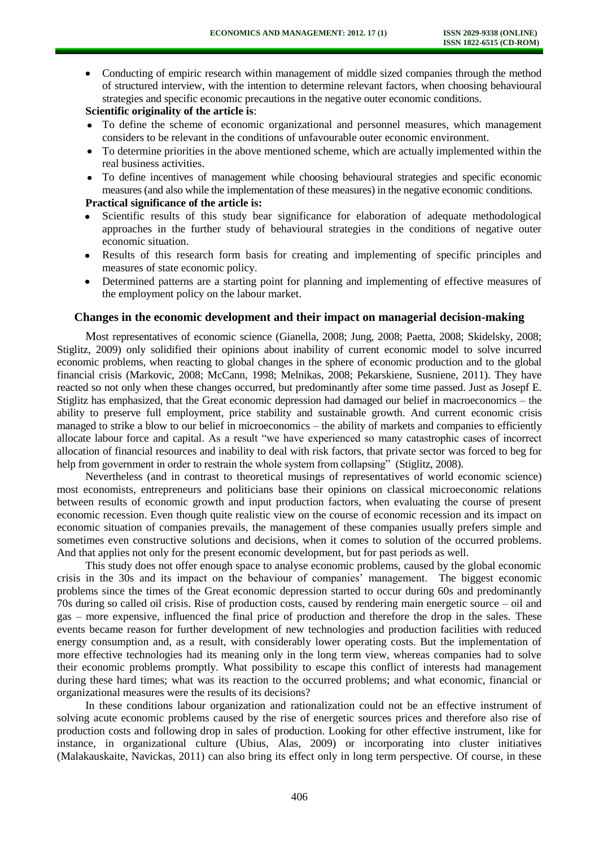Conducting of empiric research within management of middle sized companies through the method of structured interview, with the intention to determine relevant factors, when choosing behavioural strategies and specific economic precautions in the negative outer economic conditions.

# **Scientific originality of the article is**:

- To define the scheme of economic organizational and personnel measures, which management considers to be relevant in the conditions of unfavourable outer economic environment.
- To determine priorities in the above mentioned scheme, which are actually implemented within the real business activities.
- To define incentives of management while choosing behavioural strategies and specific economic measures (and also while the implementation of these measures) in the negative economic conditions.

## **Practical significance of the article is:**

- Scientific results of this study bear significance for elaboration of adequate methodological approaches in the further study of behavioural strategies in the conditions of negative outer economic situation.
- Results of this research form basis for creating and implementing of specific principles and measures of state economic policy.
- Determined patterns are a starting point for planning and implementing of effective measures of the employment policy on the labour market.

## **Changes in the economic development and their impact on managerial decision-making**

Most representatives of economic science (Gianella, 2008; Jung, 2008; Paetta, 2008; Skidelsky, 2008; Stiglitz, 2009) only solidified their opinions about inability of current economic model to solve incurred economic problems, when reacting to global changes in the sphere of economic production and to the global financial crisis (Markovic, 2008; McCann, 1998; Melnikas, 2008; Pekarskiene, Susniene, 2011). They have reacted so not only when these changes occurred, but predominantly after some time passed. Just as Josepf E. Stiglitz has emphasized, that the Great economic depression had damaged our belief in macroeconomics – the ability to preserve full employment, price stability and sustainable growth. And current economic crisis managed to strike a blow to our belief in microeconomics – the ability of markets and companies to efficiently allocate labour force and capital. As a result "we have experienced so many catastrophic cases of incorrect allocation of financial resources and inability to deal with risk factors, that private sector was forced to beg for help from government in order to restrain the whole system from collapsing" (Stiglitz, 2008).

Nevertheless (and in contrast to theoretical musings of representatives of world economic science) most economists, entrepreneurs and politicians base their opinions on classical microeconomic relations between results of economic growth and input production factors, when evaluating the course of present economic recession. Even though quite realistic view on the course of economic recession and its impact on economic situation of companies prevails, the management of these companies usually prefers simple and sometimes even constructive solutions and decisions, when it comes to solution of the occurred problems. And that applies not only for the present economic development, but for past periods as well.

This study does not offer enough space to analyse economic problems, caused by the global economic crisis in the 30s and its impact on the behaviour of companies' management. The biggest economic problems since the times of the Great economic depression started to occur during 60s and predominantly 70s during so called oil crisis. Rise of production costs, caused by rendering main energetic source – oil and gas – more expensive, influenced the final price of production and therefore the drop in the sales. These events became reason for further development of new technologies and production facilities with reduced energy consumption and, as a result, with considerably lower operating costs. But the implementation of more effective technologies had its meaning only in the long term view, whereas companies had to solve their economic problems promptly. What possibility to escape this conflict of interests had management during these hard times; what was its reaction to the occurred problems; and what economic, financial or organizational measures were the results of its decisions?

In these conditions labour organization and rationalization could not be an effective instrument of solving acute economic problems caused by the rise of energetic sources prices and therefore also rise of production costs and following drop in sales of production. Looking for other effective instrument, like for instance, in organizational culture (Ubius, Alas, 2009) or incorporating into cluster initiatives (Malakauskaite, Navickas, 2011) can also bring its effect only in long term perspective. Of course, in these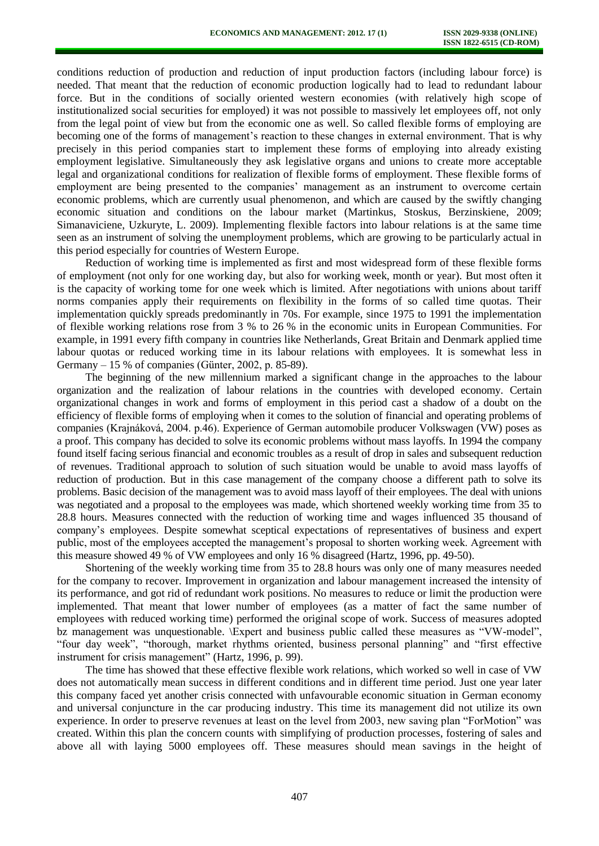conditions reduction of production and reduction of input production factors (including labour force) is needed. That meant that the reduction of economic production logically had to lead to redundant labour force. But in the conditions of socially oriented western economies (with relatively high scope of institutionalized social securities for employed) it was not possible to massively let employees off, not only from the legal point of view but from the economic one as well. So called flexible forms of employing are becoming one of the forms of management's reaction to these changes in external environment. That is why precisely in this period companies start to implement these forms of employing into already existing employment legislative. Simultaneously they ask legislative organs and unions to create more acceptable legal and organizational conditions for realization of flexible forms of employment. These flexible forms of employment are being presented to the companies' management as an instrument to overcome certain economic problems, which are currently usual phenomenon, and which are caused by the swiftly changing economic situation and conditions on the labour market (Martinkus, Stoskus, Berzinskiene, 2009; Simanaviciene, Uzkuryte, L. 2009). Implementing flexible factors into labour relations is at the same time seen as an instrument of solving the unemployment problems, which are growing to be particularly actual in this period especially for countries of Western Europe.

Reduction of working time is implemented as first and most widespread form of these flexible forms of employment (not only for one working day, but also for working week, month or year). But most often it is the capacity of working tome for one week which is limited. After negotiations with unions about tariff norms companies apply their requirements on flexibility in the forms of so called time quotas. Their implementation quickly spreads predominantly in 70s. For example, since 1975 to 1991 the implementation of flexible working relations rose from 3 % to 26 % in the economic units in European Communities. For example, in 1991 every fifth company in countries like Netherlands, Great Britain and Denmark applied time labour quotas or reduced working time in its labour relations with employees. It is somewhat less in Germany – 15 % of companies (Günter, 2002, p. 85-89).

The beginning of the new millennium marked a significant change in the approaches to the labour organization and the realization of labour relations in the countries with developed economy. Certain organizational changes in work and forms of employment in this period cast a shadow of a doubt on the efficiency of flexible forms of employing when it comes to the solution of financial and operating problems of companies (Krajnáková, 2004. p.46). Experience of German automobile producer Volkswagen (VW) poses as a proof. This company has decided to solve its economic problems without mass layoffs. In 1994 the company found itself facing serious financial and economic troubles as a result of drop in sales and subsequent reduction of revenues. Traditional approach to solution of such situation would be unable to avoid mass layoffs of reduction of production. But in this case management of the company choose a different path to solve its problems. Basic decision of the management was to avoid mass layoff of their employees. The deal with unions was negotiated and a proposal to the employees was made, which shortened weekly working time from 35 to 28.8 hours. Measures connected with the reduction of working time and wages influenced 35 thousand of company's employees. Despite somewhat sceptical expectations of representatives of business and expert public, most of the employees accepted the management's proposal to shorten working week. Agreement with this measure showed 49 % of VW employees and only 16 % disagreed (Hartz, 1996, pp. 49-50).

Shortening of the weekly working time from 35 to 28.8 hours was only one of many measures needed for the company to recover. Improvement in organization and labour management increased the intensity of its performance, and got rid of redundant work positions. No measures to reduce or limit the production were implemented. That meant that lower number of employees (as a matter of fact the same number of employees with reduced working time) performed the original scope of work. Success of measures adopted bz management was unquestionable. \Expert and business public called these measures as "VW-model", "four day week", "thorough, market rhythms oriented, business personal planning" and "first effective instrument for crisis management" (Hartz, 1996, p. 99).

The time has showed that these effective flexible work relations, which worked so well in case of VW does not automatically mean success in different conditions and in different time period. Just one year later this company faced yet another crisis connected with unfavourable economic situation in German economy and universal conjuncture in the car producing industry. This time its management did not utilize its own experience. In order to preserve revenues at least on the level from 2003, new saving plan "ForMotion" was created. Within this plan the concern counts with simplifying of production processes, fostering of sales and above all with laying 5000 employees off. These measures should mean savings in the height of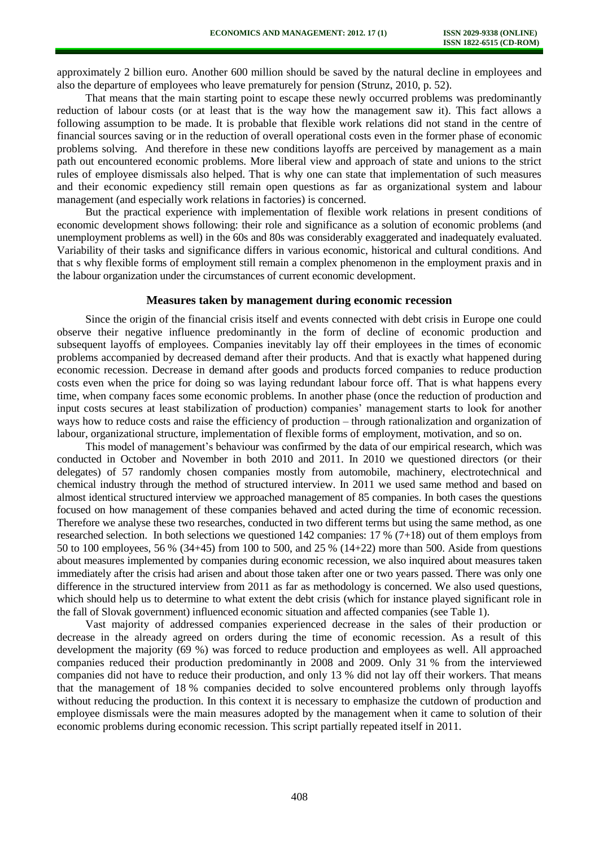approximately 2 billion euro. Another 600 million should be saved by the natural decline in employees and also the departure of employees who leave prematurely for pension (Strunz, 2010, p. 52).

That means that the main starting point to escape these newly occurred problems was predominantly reduction of labour costs (or at least that is the way how the management saw it). This fact allows a following assumption to be made. It is probable that flexible work relations did not stand in the centre of financial sources saving or in the reduction of overall operational costs even in the former phase of economic problems solving. And therefore in these new conditions layoffs are perceived by management as a main path out encountered economic problems. More liberal view and approach of state and unions to the strict rules of employee dismissals also helped. That is why one can state that implementation of such measures and their economic expediency still remain open questions as far as organizational system and labour management (and especially work relations in factories) is concerned.

But the practical experience with implementation of flexible work relations in present conditions of economic development shows following: their role and significance as a solution of economic problems (and unemployment problems as well) in the 60s and 80s was considerably exaggerated and inadequately evaluated. Variability of their tasks and significance differs in various economic, historical and cultural conditions. And that s why flexible forms of employment still remain a complex phenomenon in the employment praxis and in the labour organization under the circumstances of current economic development.

#### **Measures taken by management during economic recession**

Since the origin of the financial crisis itself and events connected with debt crisis in Europe one could observe their negative influence predominantly in the form of decline of economic production and subsequent layoffs of employees. Companies inevitably lay off their employees in the times of economic problems accompanied by decreased demand after their products. And that is exactly what happened during economic recession. Decrease in demand after goods and products forced companies to reduce production costs even when the price for doing so was laying redundant labour force off. That is what happens every time, when company faces some economic problems. In another phase (once the reduction of production and input costs secures at least stabilization of production) companies' management starts to look for another ways how to reduce costs and raise the efficiency of production – through rationalization and organization of labour, organizational structure, implementation of flexible forms of employment, motivation, and so on.

This model of management's behaviour was confirmed by the data of our empirical research, which was conducted in October and November in both 2010 and 2011. In 2010 we questioned directors (or their delegates) of 57 randomly chosen companies mostly from automobile, machinery, electrotechnical and chemical industry through the method of structured interview. In 2011 we used same method and based on almost identical structured interview we approached management of 85 companies. In both cases the questions focused on how management of these companies behaved and acted during the time of economic recession. Therefore we analyse these two researches, conducted in two different terms but using the same method, as one researched selection. In both selections we questioned 142 companies: 17 % (7+18) out of them employs from 50 to 100 employees, 56 % (34+45) from 100 to 500, and 25 % (14+22) more than 500. Aside from questions about measures implemented by companies during economic recession, we also inquired about measures taken immediately after the crisis had arisen and about those taken after one or two years passed. There was only one difference in the structured interview from 2011 as far as methodology is concerned. We also used questions, which should help us to determine to what extent the debt crisis (which for instance played significant role in the fall of Slovak government) influenced economic situation and affected companies (see Table 1).

Vast majority of addressed companies experienced decrease in the sales of their production or decrease in the already agreed on orders during the time of economic recession. As a result of this development the majority (69 %) was forced to reduce production and employees as well. All approached companies reduced their production predominantly in 2008 and 2009. Only 31 % from the interviewed companies did not have to reduce their production, and only 13 % did not lay off their workers. That means that the management of 18 % companies decided to solve encountered problems only through layoffs without reducing the production. In this context it is necessary to emphasize the cutdown of production and employee dismissals were the main measures adopted by the management when it came to solution of their economic problems during economic recession. This script partially repeated itself in 2011.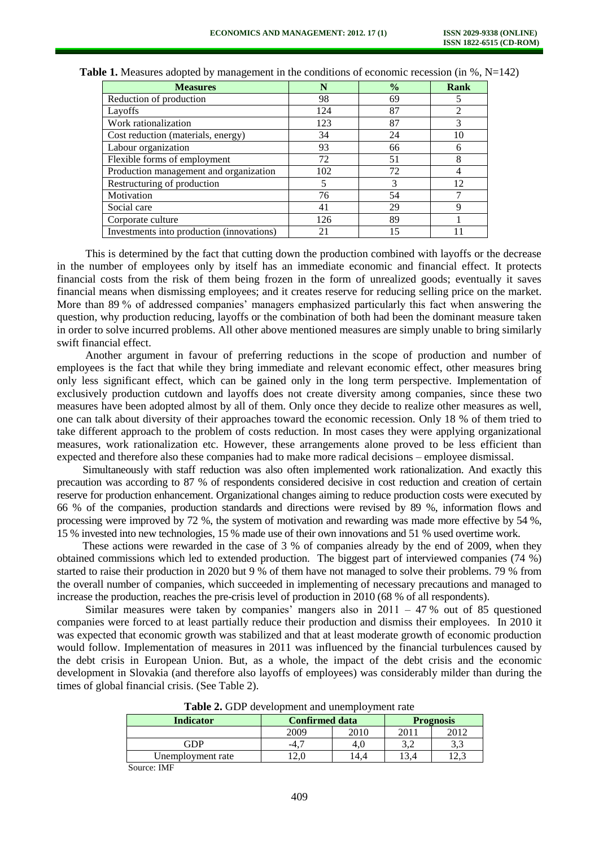| <b>Measures</b>                           | N   | $\frac{0}{0}$ | Rank |
|-------------------------------------------|-----|---------------|------|
| Reduction of production                   | 98  | 69            |      |
| Layoffs                                   | 124 | 87            | 2    |
| Work rationalization                      | 123 | 87            | 3    |
| Cost reduction (materials, energy)        | 34  | 24            | 10   |
| Labour organization                       | 93  | 66            | h    |
| Flexible forms of employment              | 72  | 51            | 8    |
| Production management and organization    | 102 | 72            |      |
| Restructuring of production               | 5   | 3             | 12   |
| Motivation                                | 76  | 54            |      |
| Social care                               | 41  | 29            | q    |
| Corporate culture                         | 126 | 89            |      |
| Investments into production (innovations) | 21  | 15            |      |

**Table 1.** Measures adopted by management in the conditions of economic recession (in %, N=142)

This is determined by the fact that cutting down the production combined with layoffs or the decrease in the number of employees only by itself has an immediate economic and financial effect. It protects financial costs from the risk of them being frozen in the form of unrealized goods; eventually it saves financial means when dismissing employees; and it creates reserve for reducing selling price on the market. More than 89 % of addressed companies' managers emphasized particularly this fact when answering the question, why production reducing, layoffs or the combination of both had been the dominant measure taken in order to solve incurred problems. All other above mentioned measures are simply unable to bring similarly swift financial effect.

Another argument in favour of preferring reductions in the scope of production and number of employees is the fact that while they bring immediate and relevant economic effect, other measures bring only less significant effect, which can be gained only in the long term perspective. Implementation of exclusively production cutdown and layoffs does not create diversity among companies, since these two measures have been adopted almost by all of them. Only once they decide to realize other measures as well, one can talk about diversity of their approaches toward the economic recession. Only 18 % of them tried to take different approach to the problem of costs reduction. In most cases they were applying organizational measures, work rationalization etc. However, these arrangements alone proved to be less efficient than expected and therefore also these companies had to make more radical decisions – employee dismissal.

Simultaneously with staff reduction was also often implemented work rationalization. And exactly this precaution was according to 87 % of respondents considered decisive in cost reduction and creation of certain reserve for production enhancement. Organizational changes aiming to reduce production costs were executed by 66 % of the companies, production standards and directions were revised by 89 %, information flows and processing were improved by 72 %, the system of motivation and rewarding was made more effective by 54 %, 15 % invested into new technologies, 15 % made use of their own innovations and 51 % used overtime work.

These actions were rewarded in the case of 3 % of companies already by the end of 2009, when they obtained commissions which led to extended production. The biggest part of interviewed companies (74 %) started to raise their production in 2020 but 9 % of them have not managed to solve their problems. 79 % from the overall number of companies, which succeeded in implementing of necessary precautions and managed to increase the production, reaches the pre-crisis level of production in 2010 (68 % of all respondents).

Similar measures were taken by companies' mangers also in  $2011 - 47$  % out of 85 questioned companies were forced to at least partially reduce their production and dismiss their employees. In 2010 it was expected that economic growth was stabilized and that at least moderate growth of economic production would follow. Implementation of measures in 2011 was influenced by the financial turbulences caused by the debt crisis in European Union. But, as a whole, the impact of the debt crisis and the economic development in Slovakia (and therefore also layoffs of employees) was considerably milder than during the times of global financial crisis. (See Table 2).

| <b>Indicator</b>        | <b>Confirmed data</b> |      | <b>Prognosis</b> |       |  |  |
|-------------------------|-----------------------|------|------------------|-------|--|--|
|                         | 2009                  | 2010 | 2011             | ንበ11  |  |  |
| FDP                     | -4                    | 4.U  |                  | ر در  |  |  |
| Unemployment rate       |                       | 4.   |                  | ے ، ک |  |  |
| <b>TA CTS</b><br>$\sim$ |                       |      |                  |       |  |  |

**Table 2.** GDP development and unemployment rate

Source: IMF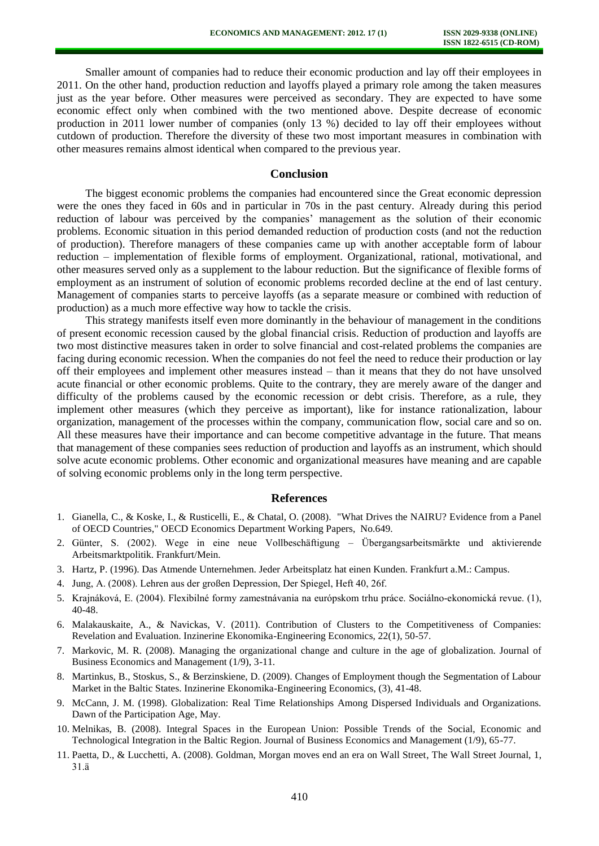Smaller amount of companies had to reduce their economic production and lay off their employees in 2011. On the other hand, production reduction and layoffs played a primary role among the taken measures just as the year before. Other measures were perceived as secondary. They are expected to have some economic effect only when combined with the two mentioned above. Despite decrease of economic production in 2011 lower number of companies (only 13 %) decided to lay off their employees without cutdown of production. Therefore the diversity of these two most important measures in combination with other measures remains almost identical when compared to the previous year.

#### **Conclusion**

The biggest economic problems the companies had encountered since the Great economic depression were the ones they faced in 60s and in particular in 70s in the past century. Already during this period reduction of labour was perceived by the companies' management as the solution of their economic problems. Economic situation in this period demanded reduction of production costs (and not the reduction of production). Therefore managers of these companies came up with another acceptable form of labour reduction – implementation of flexible forms of employment. Organizational, rational, motivational, and other measures served only as a supplement to the labour reduction. But the significance of flexible forms of employment as an instrument of solution of economic problems recorded decline at the end of last century. Management of companies starts to perceive layoffs (as a separate measure or combined with reduction of production) as a much more effective way how to tackle the crisis.

This strategy manifests itself even more dominantly in the behaviour of management in the conditions of present economic recession caused by the global financial crisis. Reduction of production and layoffs are two most distinctive measures taken in order to solve financial and cost-related problems the companies are facing during economic recession. When the companies do not feel the need to reduce their production or lay off their employees and implement other measures instead – than it means that they do not have unsolved acute financial or other economic problems. Quite to the contrary, they are merely aware of the danger and difficulty of the problems caused by the economic recession or debt crisis. Therefore, as a rule, they implement other measures (which they perceive as important), like for instance rationalization, labour organization, management of the processes within the company, communication flow, social care and so on. All these measures have their importance and can become competitive advantage in the future. That means that management of these companies sees reduction of production and layoffs as an instrument, which should solve acute economic problems. Other economic and organizational measures have meaning and are capable of solving economic problems only in the long term perspective.

#### **References**

- 1. Gianella, C., & Koske, I., & Rusticelli, E., & Chatal, O. (2008). "What Drives the NAIRU? Evidence from a Panel of OECD Countries," OECD Economics Department Working Papers, No.649.
- 2. Günter, S. (2002). Wege in eine neue Vollbeschäftigung Übergangsarbeitsmärkte und aktivierende Arbeitsmarktpolitik. Frankfurt/Mein.
- 3. Hartz, P. (1996). Das Atmende Unternehmen. Jeder Arbeitsplatz hat einen Kunden. Frankfurt a.M.: Campus.
- 4. Jung, A. (2008). Lehren aus der großen Depression, Der Spiegel, Heft 40, 26f.
- 5. Krajnáková, E. (2004). Flexibilné formy zamestnávania na európskom trhu práce. Sociálno-ekonomická revue. (1), 40-48.
- 6. Malakauskaite, A., & Navickas, V. (2011). Contribution of Clusters to the Competitiveness of Companies: Revelation and Evaluation. Inzinerine Ekonomika-Engineering Economics, 22(1), 50-57.
- 7. Markovic, M. R. (2008). Managing the organizational change and culture in the age of globalization. Journal of Business Economics and Management (1/9), 3-11.
- 8. Martinkus, B., Stoskus, S., & Berzinskiene, D. (2009). Changes of Employment though the Segmentation of Labour Market in the Baltic States. Inzinerine Ekonomika-Engineering Economics, (3), 41-48.
- 9. McCann, J. M. (1998). Globalization: Real Time Relationships Among Dispersed Individuals and Organizations. Dawn of the Participation Age, May.
- 10. Melnikas, B. (2008). Integral Spaces in the European Union: Possible Trends of the Social, Economic and Technological Integration in the Baltic Region. Journal of Business Economics and Management (1/9), 65-77.
- 11. Paetta, D., & Lucchetti, A. (2008). Goldman, Morgan moves end an era on Wall Street, The Wall Street Journal, 1, 31.ä